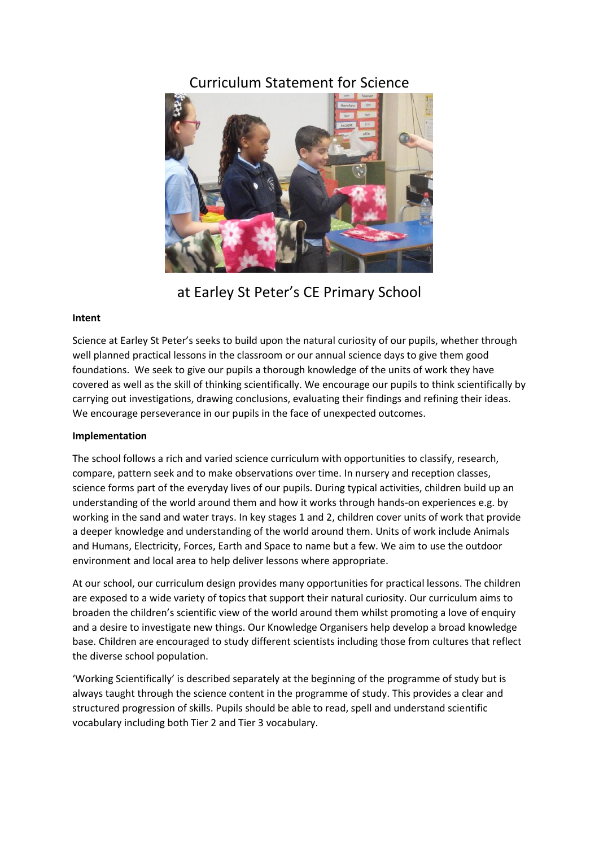# Curriculum Statement for Science



at Earley St Peter's CE Primary School

## **Intent**

Science at Earley St Peter's seeks to build upon the natural curiosity of our pupils, whether through well planned practical lessons in the classroom or our annual science days to give them good foundations. We seek to give our pupils a thorough knowledge of the units of work they have covered as well as the skill of thinking scientifically. We encourage our pupils to think scientifically by carrying out investigations, drawing conclusions, evaluating their findings and refining their ideas. We encourage perseverance in our pupils in the face of unexpected outcomes.

## **Implementation**

The school follows a rich and varied science curriculum with opportunities to classify, research, compare, pattern seek and to make observations over time. In nursery and reception classes, science forms part of the everyday lives of our pupils. During typical activities, children build up an understanding of the world around them and how it works through hands-on experiences e.g. by working in the sand and water trays. In key stages 1 and 2, children cover units of work that provide a deeper knowledge and understanding of the world around them. Units of work include Animals and Humans, Electricity, Forces, Earth and Space to name but a few. We aim to use the outdoor environment and local area to help deliver lessons where appropriate.

At our school, our curriculum design provides many opportunities for practical lessons. The children are exposed to a wide variety of topics that support their natural curiosity. Our curriculum aims to broaden the children's scientific view of the world around them whilst promoting a love of enquiry and a desire to investigate new things. Our Knowledge Organisers help develop a broad knowledge base. Children are encouraged to study different scientists including those from cultures that reflect the diverse school population.

'Working Scientifically' is described separately at the beginning of the programme of study but is always taught through the science content in the programme of study. This provides a clear and structured progression of skills. Pupils should be able to read, spell and understand scientific vocabulary including both Tier 2 and Tier 3 vocabulary.